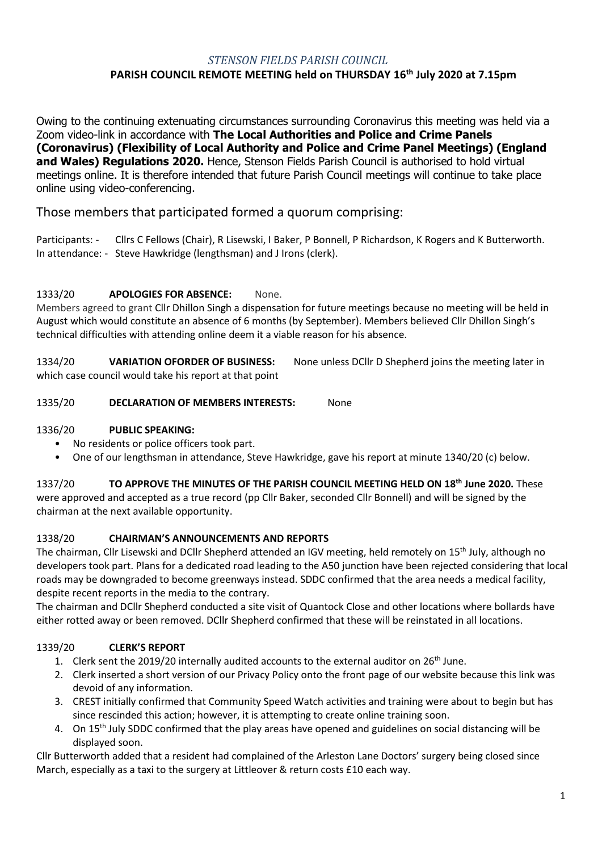## *STENSON FIELDS PARISH COUNCIL*

# **PARISH COUNCIL REMOTE MEETING held on THURSDAY 16 th July 2020 at 7.15pm**

Owing to the continuing extenuating circumstances surrounding Coronavirus this meeting was held via a Zoom video-link in accordance with **The Local Authorities and Police and Crime Panels (Coronavirus) (Flexibility of Local Authority and Police and Crime Panel Meetings) (England and Wales) Regulations 2020.** Hence, Stenson Fields Parish Council is authorised to hold virtual meetings online. It is therefore intended that future Parish Council meetings will continue to take place online using video-conferencing.

# Those members that participated formed a quorum comprising:

Participants: - Cllrs C Fellows (Chair), R Lisewski, I Baker, P Bonnell, P Richardson, K Rogers and K Butterworth. In attendance: - Steve Hawkridge (lengthsman) and J Irons (clerk).

### 1333/20 **APOLOGIES FOR ABSENCE:** None.

Members agreed to grant Cllr Dhillon Singh a dispensation for future meetings because no meeting will be held in August which would constitute an absence of 6 months (by September). Members believed Cllr Dhillon Singh's technical difficulties with attending online deem it a viable reason for his absence.

1334/20 **VARIATION OFORDER OF BUSINESS:** None unless DCllr D Shepherd joins the meeting later in which case council would take his report at that point

#### 1335/20 **DECLARATION OF MEMBERS INTERESTS:** None

#### 1336/20 **PUBLIC SPEAKING:**

- No residents or police officers took part.
- One of our lengthsman in attendance, Steve Hawkridge, gave his report at minute 1340/20 (c) below.

#### 1337/20 **TO APPROVE THE MINUTES OF THE PARISH COUNCIL MEETING HELD ON 18th June 2020.** These

were approved and accepted as a true record (pp Cllr Baker, seconded Cllr Bonnell) and will be signed by the chairman at the next available opportunity.

### 1338/20 **CHAIRMAN'S ANNOUNCEMENTS AND REPORTS**

The chairman, Cllr Lisewski and DCllr Shepherd attended an IGV meeting, held remotely on 15<sup>th</sup> July, although no developers took part. Plans for a dedicated road leading to the A50 junction have been rejected considering that local roads may be downgraded to become greenways instead. SDDC confirmed that the area needs a medical facility, despite recent reports in the media to the contrary.

The chairman and DCllr Shepherd conducted a site visit of Quantock Close and other locations where bollards have either rotted away or been removed. DCllr Shepherd confirmed that these will be reinstated in all locations.

### 1339/20 **CLERK'S REPORT**

- 1. Clerk sent the 2019/20 internally audited accounts to the external auditor on  $26<sup>th</sup>$  June.
- 2. Clerk inserted a short version of our Privacy Policy onto the front page of our website because this link was devoid of any information.
- 3. CREST initially confirmed that Community Speed Watch activities and training were about to begin but has since rescinded this action; however, it is attempting to create online training soon.
- 4. On 15<sup>th</sup> July SDDC confirmed that the play areas have opened and guidelines on social distancing will be displayed soon.

Cllr Butterworth added that a resident had complained of the Arleston Lane Doctors' surgery being closed since March, especially as a taxi to the surgery at Littleover & return costs £10 each way.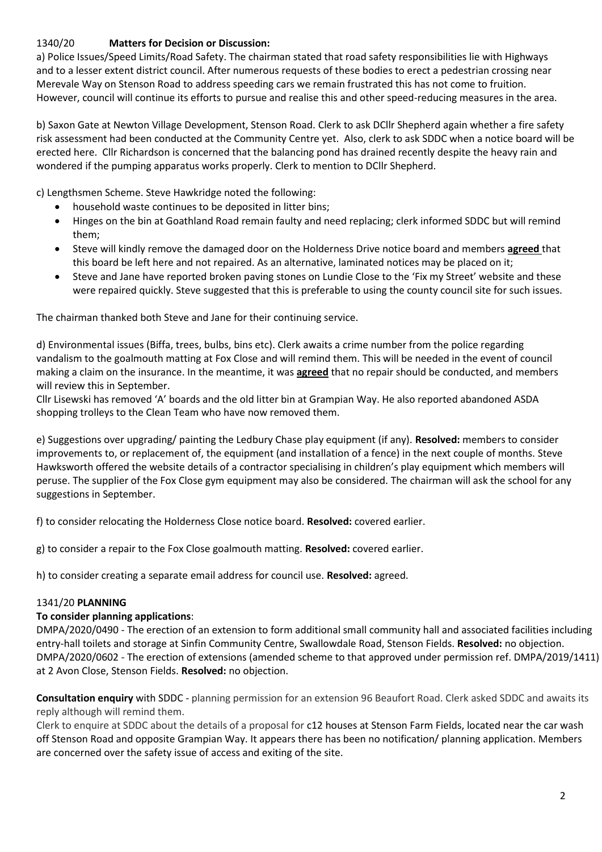## 1340/20 **Matters for Decision or Discussion:**

a) Police Issues/Speed Limits/Road Safety. The chairman stated that road safety responsibilities lie with Highways and to a lesser extent district council. After numerous requests of these bodies to erect a pedestrian crossing near Merevale Way on Stenson Road to address speeding cars we remain frustrated this has not come to fruition. However, council will continue its efforts to pursue and realise this and other speed-reducing measures in the area.

b) Saxon Gate at Newton Village Development, Stenson Road. Clerk to ask DCllr Shepherd again whether a fire safety risk assessment had been conducted at the Community Centre yet. Also, clerk to ask SDDC when a notice board will be erected here. Cllr Richardson is concerned that the balancing pond has drained recently despite the heavy rain and wondered if the pumping apparatus works properly. Clerk to mention to DCllr Shepherd.

c) Lengthsmen Scheme. Steve Hawkridge noted the following:

- household waste continues to be deposited in litter bins;
- Hinges on the bin at Goathland Road remain faulty and need replacing; clerk informed SDDC but will remind them;
- Steve will kindly remove the damaged door on the Holderness Drive notice board and members **agreed** that this board be left here and not repaired. As an alternative, laminated notices may be placed on it;
- Steve and Jane have reported broken paving stones on Lundie Close to the 'Fix my Street' website and these were repaired quickly. Steve suggested that this is preferable to using the county council site for such issues.

The chairman thanked both Steve and Jane for their continuing service.

d) Environmental issues (Biffa, trees, bulbs, bins etc). Clerk awaits a crime number from the police regarding vandalism to the goalmouth matting at Fox Close and will remind them. This will be needed in the event of council making a claim on the insurance. In the meantime, it was **agreed** that no repair should be conducted, and members will review this in September.

Cllr Lisewski has removed 'A' boards and the old litter bin at Grampian Way. He also reported abandoned ASDA shopping trolleys to the Clean Team who have now removed them.

e) Suggestions over upgrading/ painting the Ledbury Chase play equipment (if any). **Resolved:** members to consider improvements to, or replacement of, the equipment (and installation of a fence) in the next couple of months. Steve Hawksworth offered the website details of a contractor specialising in children's play equipment which members will peruse. The supplier of the Fox Close gym equipment may also be considered. The chairman will ask the school for any suggestions in September.

f) to consider relocating the Holderness Close notice board. **Resolved:** covered earlier.

g) to consider a repair to the Fox Close goalmouth matting. **Resolved:** covered earlier.

h) to consider creating a separate email address for council use. **Resolved:** agreed.

### 1341/20 **PLANNING**

### **To consider planning applications**:

DMPA/2020/0490 - The erection of an extension to form additional small community hall and associated facilities including entry-hall toilets and storage at Sinfin Community Centre, Swallowdale Road, Stenson Fields. **Resolved:** no objection. DMPA/2020/0602 - The erection of extensions (amended scheme to that approved under permission ref. DMPA/2019/1411) at 2 Avon Close, Stenson Fields. **Resolved:** no objection.

**Consultation enquiry** with SDDC - planning permission for an extension 96 Beaufort Road. Clerk asked SDDC and awaits its reply although will remind them.

Clerk to enquire at SDDC about the details of a proposal for c12 houses at Stenson Farm Fields, located near the car wash off Stenson Road and opposite Grampian Way. It appears there has been no notification/ planning application. Members are concerned over the safety issue of access and exiting of the site.